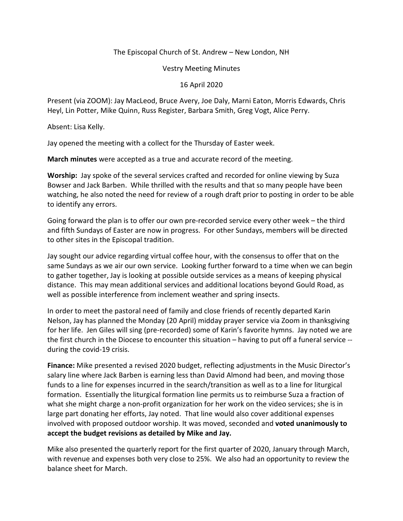## The Episcopal Church of St. Andrew – New London, NH

Vestry Meeting Minutes

16 April 2020

Present (via ZOOM): Jay MacLeod, Bruce Avery, Joe Daly, Marni Eaton, Morris Edwards, Chris Heyl, Lin Potter, Mike Quinn, Russ Register, Barbara Smith, Greg Vogt, Alice Perry.

Absent: Lisa Kelly.

Jay opened the meeting with a collect for the Thursday of Easter week.

**March minutes** were accepted as a true and accurate record of the meeting.

**Worship:** Jay spoke of the several services crafted and recorded for online viewing by Suza Bowser and Jack Barben. While thrilled with the results and that so many people have been watching, he also noted the need for review of a rough draft prior to posting in order to be able to identify any errors.

Going forward the plan is to offer our own pre-recorded service every other week – the third and fifth Sundays of Easter are now in progress. For other Sundays, members will be directed to other sites in the Episcopal tradition.

Jay sought our advice regarding virtual coffee hour, with the consensus to offer that on the same Sundays as we air our own service. Looking further forward to a time when we can begin to gather together, Jay is looking at possible outside services as a means of keeping physical distance. This may mean additional services and additional locations beyond Gould Road, as well as possible interference from inclement weather and spring insects.

In order to meet the pastoral need of family and close friends of recently departed Karin Nelson, Jay has planned the Monday (20 April) midday prayer service via Zoom in thanksgiving for her life. Jen Giles will sing (pre-recorded) some of Karin's favorite hymns. Jay noted we are the first church in the Diocese to encounter this situation – having to put off a funeral service - during the covid-19 crisis.

**Finance:** Mike presented a revised 2020 budget, reflecting adjustments in the Music Director's salary line where Jack Barben is earning less than David Almond had been, and moving those funds to a line for expenses incurred in the search/transition as well as to a line for liturgical formation. Essentially the liturgical formation line permits us to reimburse Suza a fraction of what she might charge a non-profit organization for her work on the video services; she is in large part donating her efforts, Jay noted. That line would also cover additional expenses involved with proposed outdoor worship. It was moved, seconded and **voted unanimously to accept the budget revisions as detailed by Mike and Jay.** 

Mike also presented the quarterly report for the first quarter of 2020, January through March, with revenue and expenses both very close to 25%. We also had an opportunity to review the balance sheet for March.